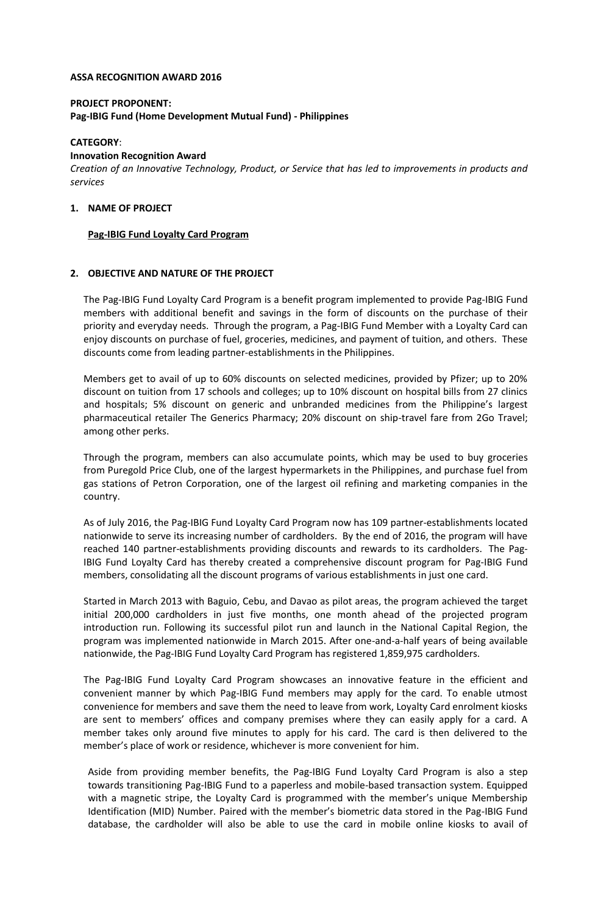#### **ASSA RECOGNITION AWARD 2016**

# **PROJECT PROPONENT: Pag-IBIG Fund (Home Development Mutual Fund) - Philippines**

#### **CATEGORY**:

#### **Innovation Recognition Award**

*Creation of an Innovative Technology, Product, or Service that has led to improvements in products and services*

# **1. NAME OF PROJECT**

### **Pag-IBIG Fund Loyalty Card Program**

### **2. OBJECTIVE AND NATURE OF THE PROJECT**

The Pag-IBIG Fund Loyalty Card Program is a benefit program implemented to provide Pag-IBIG Fund members with additional benefit and savings in the form of discounts on the purchase of their priority and everyday needs. Through the program, a Pag-IBIG Fund Member with a Loyalty Card can enjoy discounts on purchase of fuel, groceries, medicines, and payment of tuition, and others. These discounts come from leading partner-establishments in the Philippines.

Members get to avail of up to 60% discounts on selected medicines, provided by Pfizer; up to 20% discount on tuition from 17 schools and colleges; up to 10% discount on hospital bills from 27 clinics and hospitals; 5% discount on generic and unbranded medicines from the Philippine's largest pharmaceutical retailer The Generics Pharmacy; 20% discount on ship-travel fare from 2Go Travel; among other perks.

Through the program, members can also accumulate points, which may be used to buy groceries from Puregold Price Club, one of the largest hypermarkets in the Philippines, and purchase fuel from gas stations of Petron Corporation, one of the largest oil refining and marketing companies in the country.

As of July 2016, the Pag-IBIG Fund Loyalty Card Program now has 109 partner-establishments located nationwide to serve its increasing number of cardholders. By the end of 2016, the program will have reached 140 partner-establishments providing discounts and rewards to its cardholders. The Pag-IBIG Fund Loyalty Card has thereby created a comprehensive discount program for Pag-IBIG Fund members, consolidating all the discount programs of various establishments in just one card.

Started in March 2013 with Baguio, Cebu, and Davao as pilot areas, the program achieved the target initial 200,000 cardholders in just five months, one month ahead of the projected program introduction run. Following its successful pilot run and launch in the National Capital Region, the program was implemented nationwide in March 2015. After one-and-a-half years of being available nationwide, the Pag-IBIG Fund Loyalty Card Program has registered 1,859,975 cardholders.

The Pag-IBIG Fund Loyalty Card Program showcases an innovative feature in the efficient and convenient manner by which Pag-IBIG Fund members may apply for the card. To enable utmost convenience for members and save them the need to leave from work, Loyalty Card enrolment kiosks are sent to members' offices and company premises where they can easily apply for a card. A member takes only around five minutes to apply for his card. The card is then delivered to the member's place of work or residence, whichever is more convenient for him.

Aside from providing member benefits, the Pag-IBIG Fund Loyalty Card Program is also a step towards transitioning Pag-IBIG Fund to a paperless and mobile-based transaction system. Equipped with a magnetic stripe, the Loyalty Card is programmed with the member's unique Membership Identification (MID) Number. Paired with the member's biometric data stored in the Pag-IBIG Fund database, the cardholder will also be able to use the card in mobile online kiosks to avail of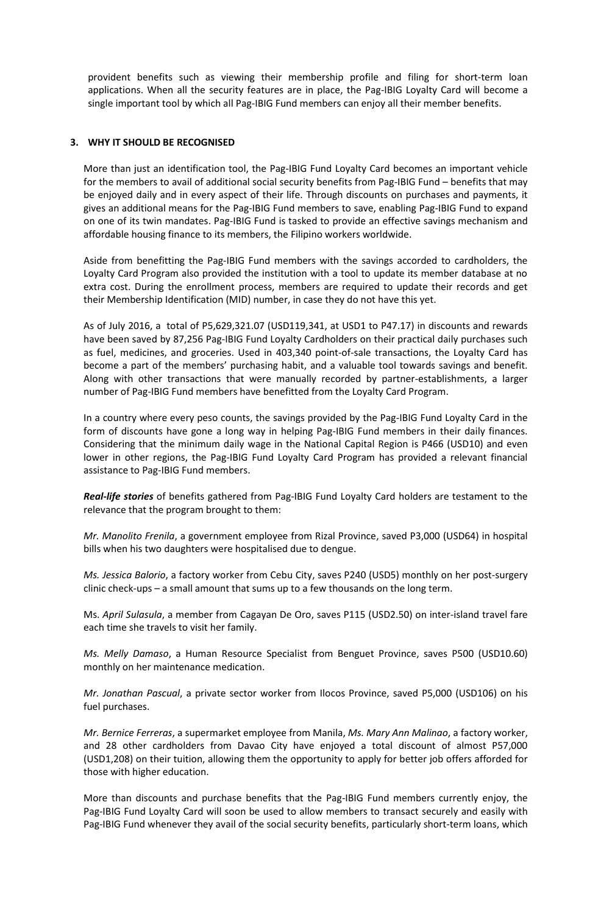provident benefits such as viewing their membership profile and filing for short-term loan applications. When all the security features are in place, the Pag-IBIG Loyalty Card will become a single important tool by which all Pag-IBIG Fund members can enjoy all their member benefits.

## **3. WHY IT SHOULD BE RECOGNISED**

More than just an identification tool, the Pag-IBIG Fund Loyalty Card becomes an important vehicle for the members to avail of additional social security benefits from Pag-IBIG Fund – benefits that may be enjoyed daily and in every aspect of their life. Through discounts on purchases and payments, it gives an additional means for the Pag-IBIG Fund members to save, enabling Pag-IBIG Fund to expand on one of its twin mandates. Pag-IBIG Fund is tasked to provide an effective savings mechanism and affordable housing finance to its members, the Filipino workers worldwide.

Aside from benefitting the Pag-IBIG Fund members with the savings accorded to cardholders, the Loyalty Card Program also provided the institution with a tool to update its member database at no extra cost. During the enrollment process, members are required to update their records and get their Membership Identification (MID) number, in case they do not have this yet.

As of July 2016, a total of P5,629,321.07 (USD119,341, at USD1 to P47.17) in discounts and rewards have been saved by 87,256 Pag-IBIG Fund Loyalty Cardholders on their practical daily purchases such as fuel, medicines, and groceries. Used in 403,340 point-of-sale transactions, the Loyalty Card has become a part of the members' purchasing habit, and a valuable tool towards savings and benefit. Along with other transactions that were manually recorded by partner-establishments, a larger number of Pag-IBIG Fund members have benefitted from the Loyalty Card Program.

In a country where every peso counts, the savings provided by the Pag-IBIG Fund Loyalty Card in the form of discounts have gone a long way in helping Pag-IBIG Fund members in their daily finances. Considering that the minimum daily wage in the National Capital Region is P466 (USD10) and even lower in other regions, the Pag-IBIG Fund Loyalty Card Program has provided a relevant financial assistance to Pag-IBIG Fund members.

*Real-life stories* of benefits gathered from Pag-IBIG Fund Loyalty Card holders are testament to the relevance that the program brought to them:

*Mr. Manolito Frenila*, a government employee from Rizal Province, saved P3,000 (USD64) in hospital bills when his two daughters were hospitalised due to dengue.

*Ms. Jessica Balorio*, a factory worker from Cebu City, saves P240 (USD5) monthly on her post-surgery clinic check-ups – a small amount that sums up to a few thousands on the long term.

Ms. *April Sulasula*, a member from Cagayan De Oro, saves P115 (USD2.50) on inter-island travel fare each time she travels to visit her family.

*Ms. Melly Damaso*, a Human Resource Specialist from Benguet Province, saves P500 (USD10.60) monthly on her maintenance medication.

*Mr. Jonathan Pascual*, a private sector worker from Ilocos Province, saved P5,000 (USD106) on his fuel purchases.

*Mr. Bernice Ferreras*, a supermarket employee from Manila, *Ms. Mary Ann Malinao*, a factory worker, and 28 other cardholders from Davao City have enjoyed a total discount of almost P57,000 (USD1,208) on their tuition, allowing them the opportunity to apply for better job offers afforded for those with higher education.

More than discounts and purchase benefits that the Pag-IBIG Fund members currently enjoy, the Pag-IBIG Fund Loyalty Card will soon be used to allow members to transact securely and easily with Pag-IBIG Fund whenever they avail of the social security benefits, particularly short-term loans, which